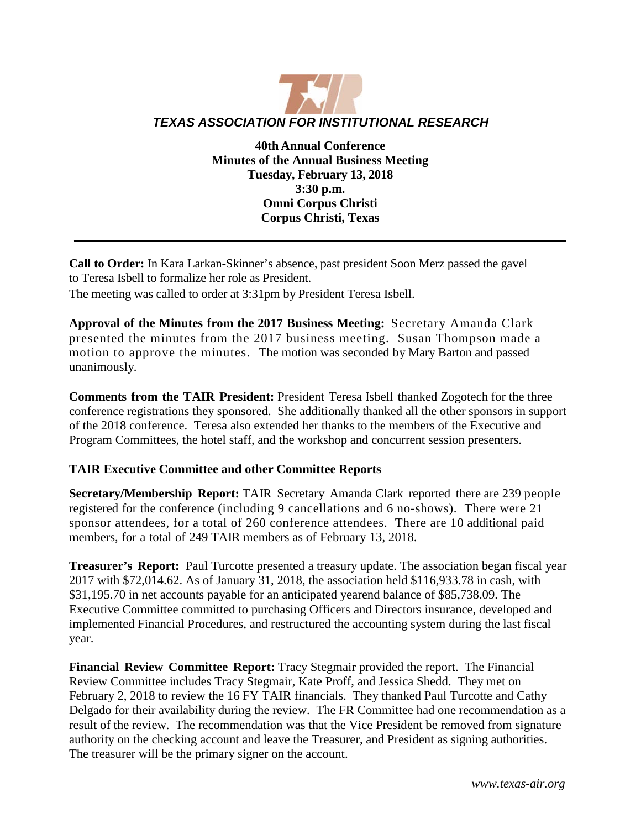

**40th Annual Conference Minutes of the Annual Business Meeting Tuesday, February 13, 2018 3:30 p.m. Omni Corpus Christi Corpus Christi, Texas**

**Call to Order:** In Kara Larkan-Skinner's absence, past president Soon Merz passed the gavel to Teresa Isbell to formalize her role as President.

The meeting was called to order at 3:31pm by President Teresa Isbell.

**Approval of the Minutes from the 2017 Business Meeting:** Secretary Amanda Clark presented the minutes from the 2017 business meeting. Susan Thompson made a motion to approve the minutes. The motion was seconded by Mary Barton and passed unanimously.

**Comments from the TAIR President:** President Teresa Isbell thanked Zogotech for the three conference registrations they sponsored. She additionally thanked all the other sponsors in support of the 2018 conference. Teresa also extended her thanks to the members of the Executive and Program Committees, the hotel staff, and the workshop and concurrent session presenters.

## **TAIR Executive Committee and other Committee Reports**

**Secretary/Membership Report:** TAIR Secretary Amanda Clark reported there are 239 people registered for the conference (including 9 cancellations and 6 no-shows). There were 21 sponsor attendees, for a total of 260 conference attendees. There are 10 additional paid members, for a total of 249 TAIR members as of February 13, 2018.

**Treasurer's Report:** Paul Turcotte presented a treasury update. The association began fiscal year 2017 with \$72,014.62. As of January 31, 2018, the association held \$116,933.78 in cash, with \$31,195.70 in net accounts payable for an anticipated yearend balance of \$85,738.09. The Executive Committee committed to purchasing Officers and Directors insurance, developed and implemented Financial Procedures, and restructured the accounting system during the last fiscal year.

**Financial Review Committee Report:** Tracy Stegmair provided the report. The Financial Review Committee includes Tracy Stegmair, Kate Proff, and Jessica Shedd. They met on February 2, 2018 to review the 16 FY TAIR financials. They thanked Paul Turcotte and Cathy Delgado for their availability during the review. The FR Committee had one recommendation as a result of the review. The recommendation was that the Vice President be removed from signature authority on the checking account and leave the Treasurer, and President as signing authorities. The treasurer will be the primary signer on the account.